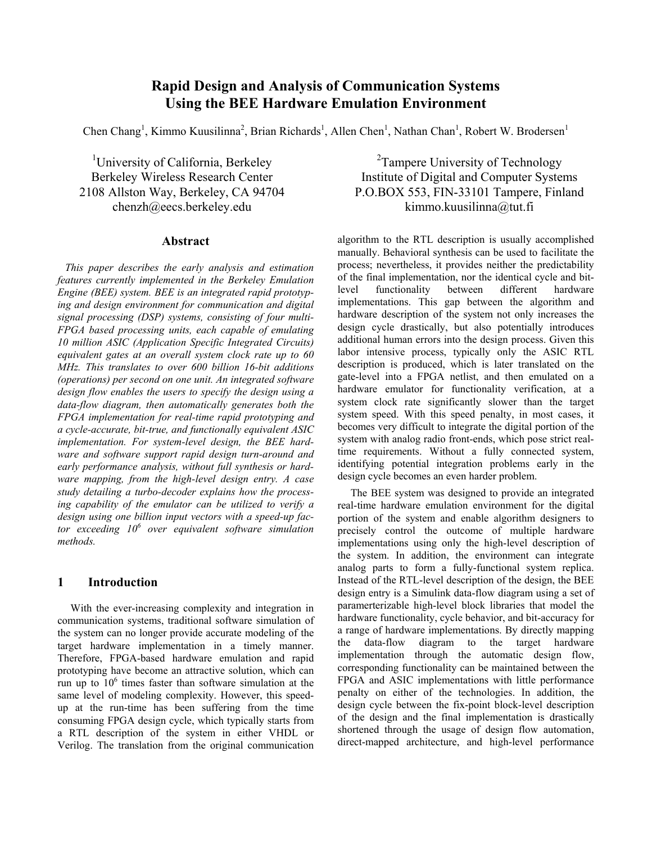# **Rapid Design and Analysis of Communication Systems Using the BEE Hardware Emulation Environment**

Chen Chang<sup>1</sup>, Kimmo Kuusilinna<sup>2</sup>, Brian Richards<sup>1</sup>, Allen Chen<sup>1</sup>, Nathan Chan<sup>1</sup>, Robert W. Brodersen<sup>1</sup>

<sup>1</sup>University of California, Berkeley Berkeley Wireless Research Center 2108 Allston Way, Berkeley, CA 94704 chenzh@eecs.berkeley.edu

# **Abstract**

*This paper describes the early analysis and estimation features currently implemented in the Berkeley Emulation Engine (BEE) system. BEE is an integrated rapid prototyping and design environment for communication and digital signal processing (DSP) systems, consisting of four multi-FPGA based processing units, each capable of emulating 10 million ASIC (Application Specific Integrated Circuits) equivalent gates at an overall system clock rate up to 60 MHz. This translates to over 600 billion 16-bit additions (operations) per second on one unit. An integrated software design flow enables the users to specify the design using a data-flow diagram, then automatically generates both the FPGA implementation for real-time rapid prototyping and a cycle-accurate, bit-true, and functionally equivalent ASIC implementation. For system-level design, the BEE hardware and software support rapid design turn-around and early performance analysis, without full synthesis or hardware mapping, from the high-level design entry. A case study detailing a turbo-decoder explains how the processing capability of the emulator can be utilized to verify a design using one billion input vectors with a speed-up factor exceeding 106 over equivalent software simulation methods.* 

# **1 Introduction**

With the ever-increasing complexity and integration in communication systems, traditional software simulation of the system can no longer provide accurate modeling of the target hardware implementation in a timely manner. Therefore, FPGA-based hardware emulation and rapid prototyping have become an attractive solution, which can run up to  $10<sup>6</sup>$  times faster than software simulation at the same level of modeling complexity. However, this speedup at the run-time has been suffering from the time consuming FPGA design cycle, which typically starts from a RTL description of the system in either VHDL or Verilog. The translation from the original communication

<sup>2</sup>Tampere University of Technology Institute of Digital and Computer Systems P.O.BOX 553, FIN-33101 Tampere, Finland kimmo.kuusilinna@tut.fi

algorithm to the RTL description is usually accomplished manually. Behavioral synthesis can be used to facilitate the process; nevertheless, it provides neither the predictability of the final implementation, nor the identical cycle and bitlevel functionality between different hardware implementations. This gap between the algorithm and hardware description of the system not only increases the design cycle drastically, but also potentially introduces additional human errors into the design process. Given this labor intensive process, typically only the ASIC RTL description is produced, which is later translated on the gate-level into a FPGA netlist, and then emulated on a hardware emulator for functionality verification, at a system clock rate significantly slower than the target system speed. With this speed penalty, in most cases, it becomes very difficult to integrate the digital portion of the system with analog radio front-ends, which pose strict realtime requirements. Without a fully connected system, identifying potential integration problems early in the design cycle becomes an even harder problem.

The BEE system was designed to provide an integrated real-time hardware emulation environment for the digital portion of the system and enable algorithm designers to precisely control the outcome of multiple hardware implementations using only the high-level description of the system. In addition, the environment can integrate analog parts to form a fully-functional system replica. Instead of the RTL-level description of the design, the BEE design entry is a Simulink data-flow diagram using a set of paramerterizable high-level block libraries that model the hardware functionality, cycle behavior, and bit-accuracy for a range of hardware implementations. By directly mapping the data-flow diagram to the target hardware implementation through the automatic design flow, corresponding functionality can be maintained between the FPGA and ASIC implementations with little performance penalty on either of the technologies. In addition, the design cycle between the fix-point block-level description of the design and the final implementation is drastically shortened through the usage of design flow automation, direct-mapped architecture, and high-level performance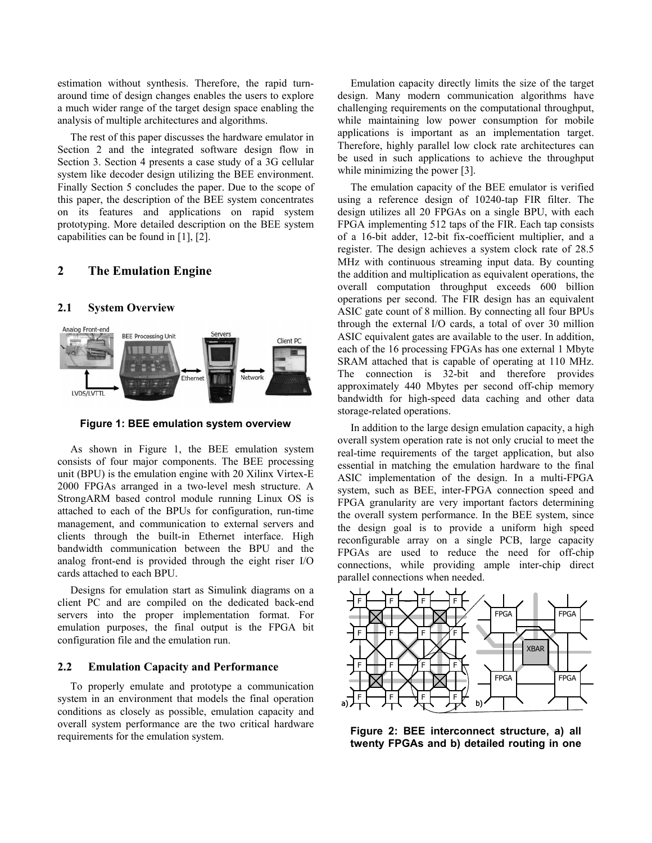estimation without synthesis. Therefore, the rapid turnaround time of design changes enables the users to explore a much wider range of the target design space enabling the analysis of multiple architectures and algorithms.

The rest of this paper discusses the hardware emulator in Section 2 and the integrated software design flow in Section 3. Section 4 presents a case study of a 3G cellular system like decoder design utilizing the BEE environment. Finally Section 5 concludes the paper. Due to the scope of this paper, the description of the BEE system concentrates on its features and applications on rapid system prototyping. More detailed description on the BEE system capabilities can be found in [1], [2].

# **2 The Emulation Engine**

### **2.1 System Overview**



**Figure 1: BEE emulation system overview**

As shown in Figure 1, the BEE emulation system consists of four major components. The BEE processing unit (BPU) is the emulation engine with 20 Xilinx Virtex-E 2000 FPGAs arranged in a two-level mesh structure. A StrongARM based control module running Linux OS is attached to each of the BPUs for configuration, run-time management, and communication to external servers and clients through the built-in Ethernet interface. High bandwidth communication between the BPU and the analog front-end is provided through the eight riser I/O cards attached to each BPU.

Designs for emulation start as Simulink diagrams on a client PC and are compiled on the dedicated back-end servers into the proper implementation format. For emulation purposes, the final output is the FPGA bit configuration file and the emulation run.

### **2.2 Emulation Capacity and Performance**

To properly emulate and prototype a communication system in an environment that models the final operation conditions as closely as possible, emulation capacity and overall system performance are the two critical hardware requirements for the emulation system.

Emulation capacity directly limits the size of the target design. Many modern communication algorithms have challenging requirements on the computational throughput, while maintaining low power consumption for mobile applications is important as an implementation target. Therefore, highly parallel low clock rate architectures can be used in such applications to achieve the throughput while minimizing the power [3].

The emulation capacity of the BEE emulator is verified using a reference design of 10240-tap FIR filter. The design utilizes all 20 FPGAs on a single BPU, with each FPGA implementing 512 taps of the FIR. Each tap consists of a 16-bit adder, 12-bit fix-coefficient multiplier, and a register. The design achieves a system clock rate of 28.5 MHz with continuous streaming input data. By counting the addition and multiplication as equivalent operations, the overall computation throughput exceeds 600 billion operations per second. The FIR design has an equivalent ASIC gate count of 8 million. By connecting all four BPUs through the external I/O cards, a total of over 30 million ASIC equivalent gates are available to the user. In addition, each of the 16 processing FPGAs has one external 1 Mbyte SRAM attached that is capable of operating at 110 MHz. The connection is 32-bit and therefore provides approximately 440 Mbytes per second off-chip memory bandwidth for high-speed data caching and other data storage-related operations.

In addition to the large design emulation capacity, a high overall system operation rate is not only crucial to meet the real-time requirements of the target application, but also essential in matching the emulation hardware to the final ASIC implementation of the design. In a multi-FPGA system, such as BEE, inter-FPGA connection speed and FPGA granularity are very important factors determining the overall system performance. In the BEE system, since the design goal is to provide a uniform high speed reconfigurable array on a single PCB, large capacity FPGAs are used to reduce the need for off-chip connections, while providing ample inter-chip direct parallel connections when needed.



**Figure 2: BEE interconnect structure, a) all twenty FPGAs and b) detailed routing in one**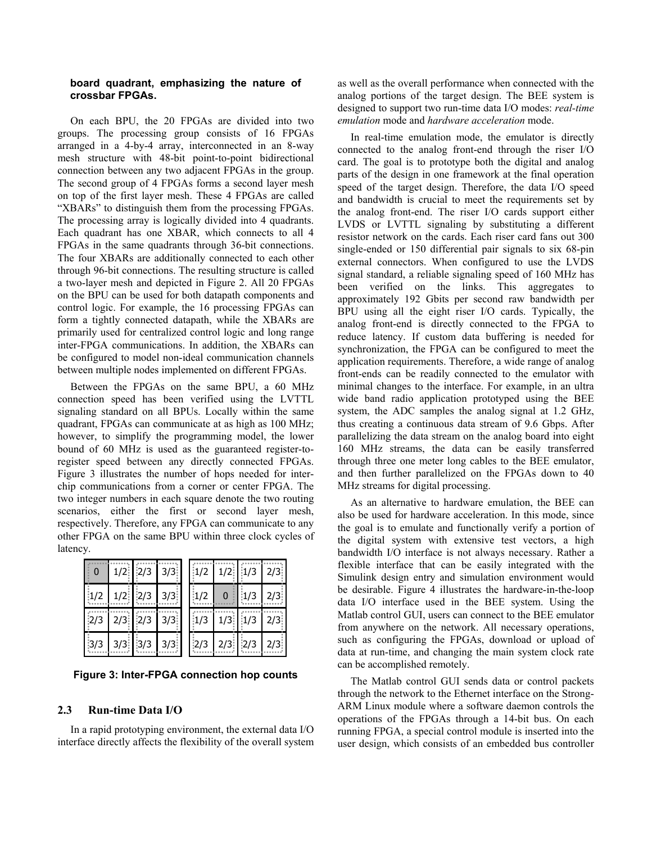### **board quadrant, emphasizing the nature of crossbar FPGAs.**

On each BPU, the 20 FPGAs are divided into two groups. The processing group consists of 16 FPGAs arranged in a 4-by-4 array, interconnected in an 8-way mesh structure with 48-bit point-to-point bidirectional connection between any two adjacent FPGAs in the group. The second group of 4 FPGAs forms a second layer mesh on top of the first layer mesh. These 4 FPGAs are called "XBARs" to distinguish them from the processing FPGAs. The processing array is logically divided into 4 quadrants. Each quadrant has one XBAR, which connects to all 4 FPGAs in the same quadrants through 36-bit connections. The four XBARs are additionally connected to each other through 96-bit connections. The resulting structure is called a two-layer mesh and depicted in Figure 2. All 20 FPGAs on the BPU can be used for both datapath components and control logic. For example, the 16 processing FPGAs can form a tightly connected datapath, while the XBARs are primarily used for centralized control logic and long range inter-FPGA communications. In addition, the XBARs can be configured to model non-ideal communication channels between multiple nodes implemented on different FPGAs.

Between the FPGAs on the same BPU, a 60 MHz connection speed has been verified using the LVTTL signaling standard on all BPUs. Locally within the same quadrant, FPGAs can communicate at as high as 100 MHz; however, to simplify the programming model, the lower bound of 60 MHz is used as the guaranteed register-toregister speed between any directly connected FPGAs. Figure 3 illustrates the number of hops needed for interchip communications from a corner or center FPGA. The two integer numbers in each square denote the two routing scenarios, either the first or second layer mesh, respectively. Therefore, any FPGA can communicate to any other FPGA on the same BPU within three clock cycles of latency.

| $\bullet$                                                                                                                                                     |  | $1/2$ $ 2/3 $ $3/3$ $ 3/3 $ $ 1/2 $ $1/2$ $ 1/3 $ $2/3$ |  |  |                                                                                                    |  |
|---------------------------------------------------------------------------------------------------------------------------------------------------------------|--|---------------------------------------------------------|--|--|----------------------------------------------------------------------------------------------------|--|
| $\left  \frac{1}{2}/2 \right  1/2 \left  \frac{1}{2}/3 \right  3/3 \left  \frac{1}{2}/2 \right  0 \left  \frac{1}{2}/3 \right  2/3 \right $                   |  |                                                         |  |  |                                                                                                    |  |
| $\left  \frac{1}{2}/3 \right  2/3 \left  2/3 \right  3/3 \left  \right $                                                                                      |  |                                                         |  |  | $\left  \frac{1}{3} \right  1/3 \left  \frac{1}{3} \right  \left  \frac{1}{3} \right  2/3 \right $ |  |
| $\frac{1}{2}$ 3/3 $\frac{1}{3}$ 3/3 $\frac{1}{3}$ 3/3 $\frac{1}{3}$ 3/3 $\frac{1}{2}$ 2/3 $\frac{1}{2}$ 2/3 $\frac{1}{3}$ 2/3 $\frac{1}{3}$ 2/3 $\frac{1}{3}$ |  |                                                         |  |  |                                                                                                    |  |

**Figure 3: Inter-FPGA connection hop counts** 

# **2.3 Run-time Data I/O**

In a rapid prototyping environment, the external data I/O interface directly affects the flexibility of the overall system

as well as the overall performance when connected with the analog portions of the target design. The BEE system is designed to support two run-time data I/O modes: *real-time emulation* mode and *hardware acceleration* mode.

In real-time emulation mode, the emulator is directly connected to the analog front-end through the riser I/O card. The goal is to prototype both the digital and analog parts of the design in one framework at the final operation speed of the target design. Therefore, the data I/O speed and bandwidth is crucial to meet the requirements set by the analog front-end. The riser I/O cards support either LVDS or LVTTL signaling by substituting a different resistor network on the cards. Each riser card fans out 300 single-ended or 150 differential pair signals to six 68-pin external connectors. When configured to use the LVDS signal standard, a reliable signaling speed of 160 MHz has been verified on the links. This aggregates to approximately 192 Gbits per second raw bandwidth per BPU using all the eight riser I/O cards. Typically, the analog front-end is directly connected to the FPGA to reduce latency. If custom data buffering is needed for synchronization, the FPGA can be configured to meet the application requirements. Therefore, a wide range of analog front-ends can be readily connected to the emulator with minimal changes to the interface. For example, in an ultra wide band radio application prototyped using the BEE system, the ADC samples the analog signal at 1.2 GHz, thus creating a continuous data stream of 9.6 Gbps. After parallelizing the data stream on the analog board into eight 160 MHz streams, the data can be easily transferred through three one meter long cables to the BEE emulator, and then further parallelized on the FPGAs down to 40 MHz streams for digital processing.

As an alternative to hardware emulation, the BEE can also be used for hardware acceleration. In this mode, since the goal is to emulate and functionally verify a portion of the digital system with extensive test vectors, a high bandwidth I/O interface is not always necessary. Rather a flexible interface that can be easily integrated with the Simulink design entry and simulation environment would be desirable. Figure 4 illustrates the hardware-in-the-loop data I/O interface used in the BEE system. Using the Matlab control GUI, users can connect to the BEE emulator from anywhere on the network. All necessary operations, such as configuring the FPGAs, download or upload of data at run-time, and changing the main system clock rate can be accomplished remotely.

The Matlab control GUI sends data or control packets through the network to the Ethernet interface on the Strong-ARM Linux module where a software daemon controls the operations of the FPGAs through a 14-bit bus. On each running FPGA, a special control module is inserted into the user design, which consists of an embedded bus controller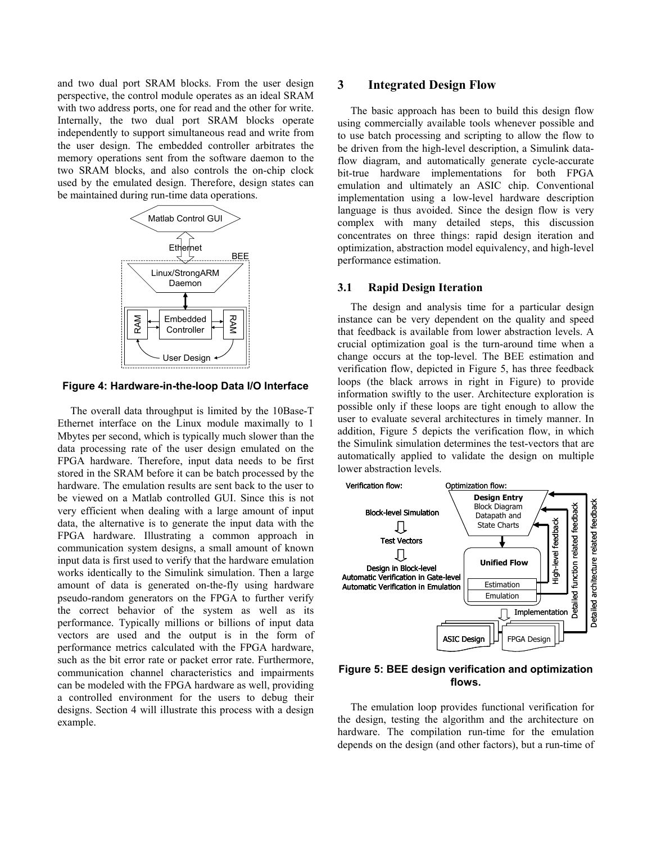and two dual port SRAM blocks. From the user design **3 Integrated Design Flow** perspective, the control module operates as an ideal SRAM with two address ports, one for read and the other for write. Internally, the two dual port SRAM blocks operate independently to support simultaneous read and write from the user design. The embedded controller arbitrates the memory operations sent from the software daemon to the two SRAM blocks, and also controls the on-chip clock used by the emulated design. Therefore, design states can be maintained during run-time data operations.



**Figure 4: Hardware-in-the-loop Data I/O Interface** 

The overall data throughput is limited by the 10Base-T Ethernet interface on the Linux module maximally to 1 Mbytes per second, which is typically much slower than the data processing rate of the user design emulated on the FPGA hardware. Therefore, input data needs to be first stored in the SRAM before it can be batch processed by the hardware. The emulation results are sent back to the user to be viewed on a Matlab controlled GUI. Since this is not very efficient when dealing with a large amount of input data, the alternative is to generate the input data with the FPGA hardware. Illustrating a common approach in communication system designs, a small amount of known input data is first used to verify that the hardware emulation works identically to the Simulink simulation. Then a large amount of data is generated on-the-fly using hardware pseudo-random generators on the FPGA to further verify the correct behavior of the system as well as its performance. Typically millions or billions of input data vectors are used and the output is in the form of performance metrics calculated with the FPGA hardware, such as the bit error rate or packet error rate. Furthermore, communication channel characteristics and impairments can be modeled with the FPGA hardware as well, providing a controlled environment for the users to debug their designs. Section 4 will illustrate this process with a design example.

The basic approach has been to build this design flow using commercially available tools whenever possible and to use batch processing and scripting to allow the flow to be driven from the high-level description, a Simulink dataflow diagram, and automatically generate cycle-accurate bit-true hardware implementations for both FPGA emulation and ultimately an ASIC chip. Conventional implementation using a low-level hardware description language is thus avoided. Since the design flow is very complex with many detailed steps, this discussion concentrates on three things: rapid design iteration and optimization, abstraction model equivalency, and high-level performance estimation.

### **3.1 Rapid Design Iteration**

The design and analysis time for a particular design instance can be very dependent on the quality and speed that feedback is available from lower abstraction levels. A crucial optimization goal is the turn-around time when a change occurs at the top-level. The BEE estimation and verification flow, depicted in Figure 5, has three feedback loops (the black arrows in right in Figure) to provide information swiftly to the user. Architecture exploration is possible only if these loops are tight enough to allow the user to evaluate several architectures in timely manner. In addition, Figure 5 depicts the verification flow, in which the Simulink simulation determines the test-vectors that are automatically applied to validate the design on multiple lower abstraction levels.



# **Figure 5: BEE design verification and optimization flows.**

The emulation loop provides functional verification for the design, testing the algorithm and the architecture on hardware. The compilation run-time for the emulation depends on the design (and other factors), but a run-time of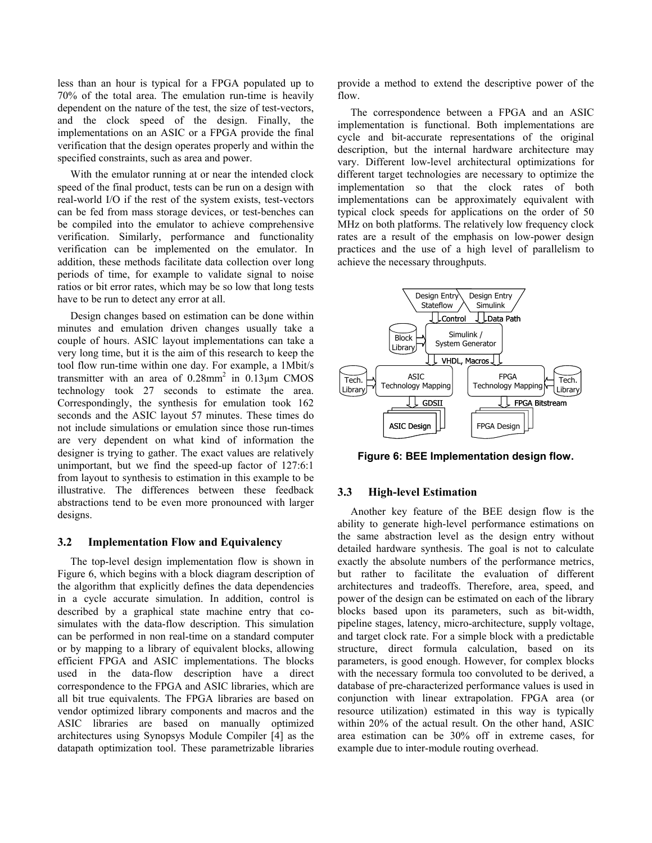less than an hour is typical for a FPGA populated up to 70% of the total area. The emulation run-time is heavily dependent on the nature of the test, the size of test-vectors, and the clock speed of the design. Finally, the implementations on an ASIC or a FPGA provide the final verification that the design operates properly and within the specified constraints, such as area and power.

With the emulator running at or near the intended clock speed of the final product, tests can be run on a design with real-world I/O if the rest of the system exists, test-vectors can be fed from mass storage devices, or test-benches can be compiled into the emulator to achieve comprehensive verification. Similarly, performance and functionality verification can be implemented on the emulator. In addition, these methods facilitate data collection over long periods of time, for example to validate signal to noise ratios or bit error rates, which may be so low that long tests have to be run to detect any error at all.

Design changes based on estimation can be done within minutes and emulation driven changes usually take a couple of hours. ASIC layout implementations can take a very long time, but it is the aim of this research to keep the tool flow run-time within one day. For example, a 1Mbit/s transmitter with an area of  $0.28$ mm<sup>2</sup> in  $0.13$ µm CMOS technology took 27 seconds to estimate the area. Correspondingly, the synthesis for emulation took 162 seconds and the ASIC layout 57 minutes. These times do not include simulations or emulation since those run-times are very dependent on what kind of information the designer is trying to gather. The exact values are relatively unimportant, but we find the speed-up factor of 127:6:1 from layout to synthesis to estimation in this example to be illustrative. The differences between these feedback abstractions tend to be even more pronounced with larger designs.

### **3.2 Implementation Flow and Equivalency**

The top-level design implementation flow is shown in Figure 6, which begins with a block diagram description of the algorithm that explicitly defines the data dependencies in a cycle accurate simulation. In addition, control is described by a graphical state machine entry that cosimulates with the data-flow description. This simulation can be performed in non real-time on a standard computer or by mapping to a library of equivalent blocks, allowing efficient FPGA and ASIC implementations. The blocks used in the data-flow description have a direct correspondence to the FPGA and ASIC libraries, which are all bit true equivalents. The FPGA libraries are based on vendor optimized library components and macros and the ASIC libraries are based on manually optimized architectures using Synopsys Module Compiler [4] as the datapath optimization tool. These parametrizable libraries provide a method to extend the descriptive power of the flow.

The correspondence between a FPGA and an ASIC implementation is functional. Both implementations are cycle and bit-accurate representations of the original description, but the internal hardware architecture may vary. Different low-level architectural optimizations for different target technologies are necessary to optimize the implementation so that the clock rates of both implementations can be approximately equivalent with typical clock speeds for applications on the order of 50 MHz on both platforms. The relatively low frequency clock rates are a result of the emphasis on low-power design practices and the use of a high level of parallelism to achieve the necessary throughputs.



**Figure 6: BEE Implementation design flow.** 

# **3.3 High-level Estimation**

Another key feature of the BEE design flow is the ability to generate high-level performance estimations on the same abstraction level as the design entry without detailed hardware synthesis. The goal is not to calculate exactly the absolute numbers of the performance metrics, but rather to facilitate the evaluation of different architectures and tradeoffs. Therefore, area, speed, and power of the design can be estimated on each of the library blocks based upon its parameters, such as bit-width, pipeline stages, latency, micro-architecture, supply voltage, and target clock rate. For a simple block with a predictable structure, direct formula calculation, based on its parameters, is good enough. However, for complex blocks with the necessary formula too convoluted to be derived, a database of pre-characterized performance values is used in conjunction with linear extrapolation. FPGA area (or resource utilization) estimated in this way is typically within 20% of the actual result. On the other hand, ASIC area estimation can be 30% off in extreme cases, for example due to inter-module routing overhead.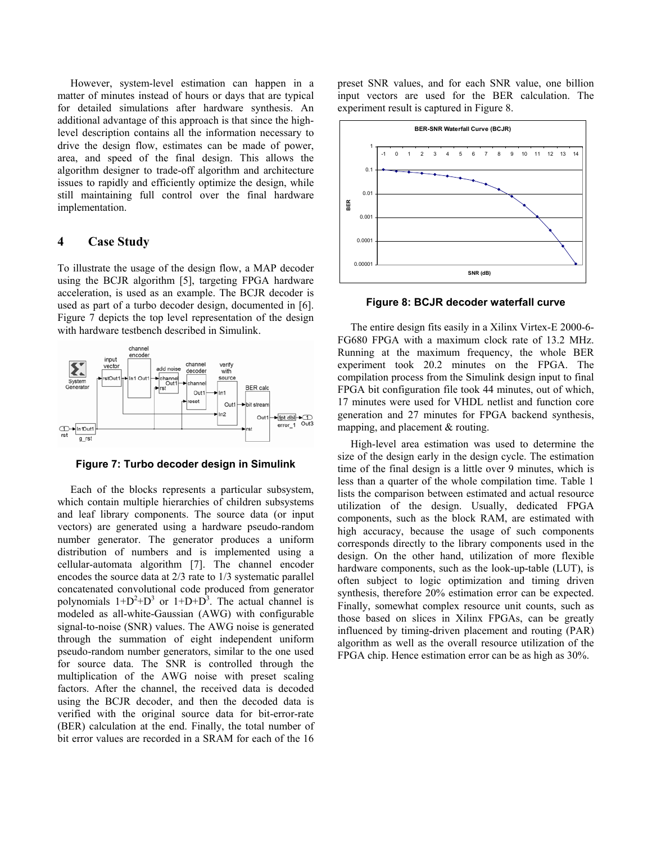However, system-level estimation can happen in a matter of minutes instead of hours or days that are typical for detailed simulations after hardware synthesis. An additional advantage of this approach is that since the highlevel description contains all the information necessary to drive the design flow, estimates can be made of power, area, and speed of the final design. This allows the algorithm designer to trade-off algorithm and architecture issues to rapidly and efficiently optimize the design, while still maintaining full control over the final hardware implementation.

# **4 Case Study**

To illustrate the usage of the design flow, a MAP decoder using the BCJR algorithm [5], targeting FPGA hardware acceleration, is used as an example. The BCJR decoder is used as part of a turbo decoder design, documented in [6]. Figure 7 depicts the top level representation of the design with hardware testbench described in Simulink.



**Figure 7: Turbo decoder design in Simulink** 

Each of the blocks represents a particular subsystem, which contain multiple hierarchies of children subsystems and leaf library components. The source data (or input vectors) are generated using a hardware pseudo-random number generator. The generator produces a uniform distribution of numbers and is implemented using a cellular-automata algorithm [7]. The channel encoder encodes the source data at 2/3 rate to 1/3 systematic parallel concatenated convolutional code produced from generator polynomials  $1+D^2+D^3$  or  $1+D+D^3$ . The actual channel is modeled as all-white-Gaussian (AWG) with configurable signal-to-noise (SNR) values. The AWG noise is generated through the summation of eight independent uniform pseudo-random number generators, similar to the one used for source data. The SNR is controlled through the multiplication of the AWG noise with preset scaling factors. After the channel, the received data is decoded using the BCJR decoder, and then the decoded data is verified with the original source data for bit-error-rate (BER) calculation at the end. Finally, the total number of bit error values are recorded in a SRAM for each of the 16

preset SNR values, and for each SNR value, one billion input vectors are used for the BER calculation. The experiment result is captured in Figure 8.



**Figure 8: BCJR decoder waterfall curve** 

The entire design fits easily in a Xilinx Virtex-E 2000-6- FG680 FPGA with a maximum clock rate of 13.2 MHz. Running at the maximum frequency, the whole BER experiment took 20.2 minutes on the FPGA. The compilation process from the Simulink design input to final FPGA bit configuration file took 44 minutes, out of which, 17 minutes were used for VHDL netlist and function core generation and 27 minutes for FPGA backend synthesis, mapping, and placement & routing.

High-level area estimation was used to determine the size of the design early in the design cycle. The estimation time of the final design is a little over 9 minutes, which is less than a quarter of the whole compilation time. Table 1 lists the comparison between estimated and actual resource utilization of the design. Usually, dedicated FPGA components, such as the block RAM, are estimated with high accuracy, because the usage of such components corresponds directly to the library components used in the design. On the other hand, utilization of more flexible hardware components, such as the look-up-table (LUT), is often subject to logic optimization and timing driven synthesis, therefore 20% estimation error can be expected. Finally, somewhat complex resource unit counts, such as those based on slices in Xilinx FPGAs, can be greatly influenced by timing-driven placement and routing (PAR) algorithm as well as the overall resource utilization of the FPGA chip. Hence estimation error can be as high as 30%.